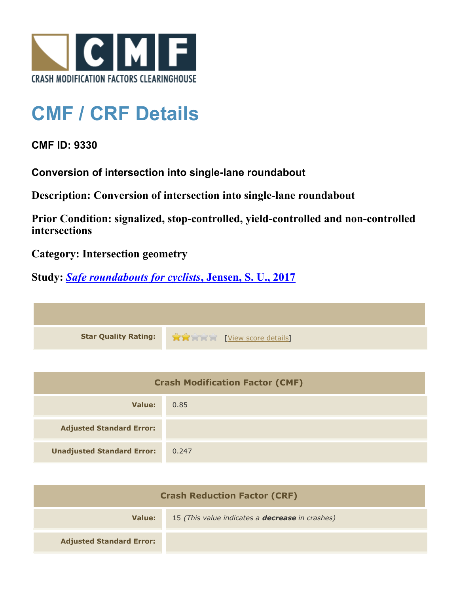

## **CMF / CRF Details**

**CMF ID: 9330**

**Conversion of intersection into single-lane roundabout**

**Description: Conversion of intersection into single-lane roundabout**

**Prior Condition: signalized, stop-controlled, yield-controlled and non-controlled intersections**

**Category: Intersection geometry**

**Study:** *[Safe roundabouts for cyclists](http://www.cmfclearinghouse.org/study_detail.cfm?stid=516)***[, Jensen, S. U., 2017](http://www.cmfclearinghouse.org/study_detail.cfm?stid=516)**

**Star Quality Rating:**  $\mathbf{\hat{x}}$  **and**  $\mathbf{\hat{y}}$  [[View score details](http://www.cmfclearinghouse.org/score_details.cfm?facid=9330)]

| <b>Crash Modification Factor (CMF)</b> |       |
|----------------------------------------|-------|
| Value:                                 | 0.85  |
| <b>Adjusted Standard Error:</b>        |       |
| <b>Unadjusted Standard Error:</b>      | 0.247 |

| <b>Crash Reduction Factor (CRF)</b> |                                                        |
|-------------------------------------|--------------------------------------------------------|
| Value:                              | 15 (This value indicates a <b>decrease</b> in crashes) |
| <b>Adjusted Standard Error:</b>     |                                                        |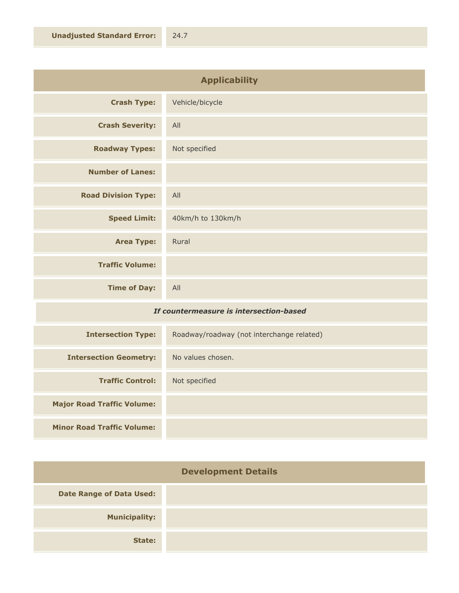| <b>Applicability</b>       |                   |
|----------------------------|-------------------|
| <b>Crash Type:</b>         | Vehicle/bicycle   |
| <b>Crash Severity:</b>     | All               |
| <b>Roadway Types:</b>      | Not specified     |
| <b>Number of Lanes:</b>    |                   |
| <b>Road Division Type:</b> | All               |
| <b>Speed Limit:</b>        | 40km/h to 130km/h |
| <b>Area Type:</b>          | Rural             |
| <b>Traffic Volume:</b>     |                   |
| <b>Time of Day:</b>        | All               |

## *If countermeasure is intersection-based*

| <b>Intersection Type:</b>         | Roadway/roadway (not interchange related) |
|-----------------------------------|-------------------------------------------|
| <b>Intersection Geometry:</b>     | No values chosen.                         |
| <b>Traffic Control:</b>           | Not specified                             |
| <b>Major Road Traffic Volume:</b> |                                           |
| <b>Minor Road Traffic Volume:</b> |                                           |

| <b>Development Details</b>      |  |
|---------------------------------|--|
| <b>Date Range of Data Used:</b> |  |
| <b>Municipality:</b>            |  |
| State:                          |  |